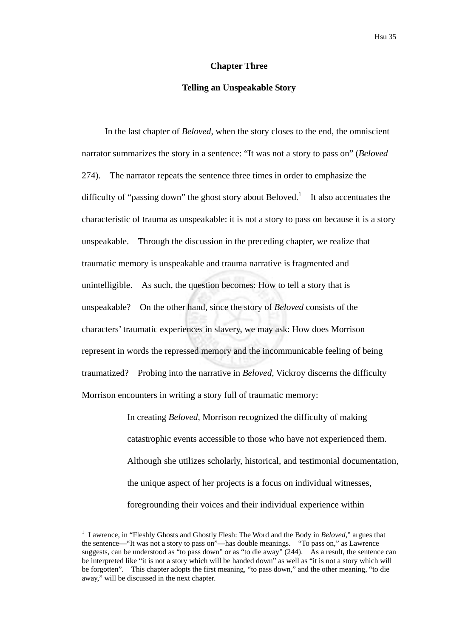# **Chapter Three**

### **Telling an Unspeakable Story**

In the last chapter of *Beloved*, when the story closes to the end, the omniscient narrator summarizes the story in a sentence: "It was not a story to pass on" (*Beloved* 274). The narrator repeats the sentence three times in order to emphasize the difficulty of "passing down" the ghost story about Beloved.<sup>1</sup> It also accentuates the characteristic of trauma as unspeakable: it is not a story to pass on because it is a story unspeakable. Through the discussion in the preceding chapter, we realize that traumatic memory is unspeakable and trauma narrative is fragmented and unintelligible. As such, the question becomes: How to tell a story that is unspeakable? On the other hand, since the story of *Beloved* consists of the characters' traumatic experiences in slavery, we may ask: How does Morrison represent in words the repressed memory and the incommunicable feeling of being traumatized? Probing into the narrative in *Beloved*, Vickroy discerns the difficulty Morrison encounters in writing a story full of traumatic memory:

> In creating *Beloved*, Morrison recognized the difficulty of making catastrophic events accessible to those who have not experienced them. Although she utilizes scholarly, historical, and testimonial documentation, the unique aspect of her projects is a focus on individual witnesses, foregrounding their voices and their individual experience within

1

<sup>1</sup> Lawrence, in "Fleshly Ghosts and Ghostly Flesh: The Word and the Body in *Beloved*," argues that the sentence—"It was not a story to pass on"—has double meanings. "To pass on," as Lawrence suggests, can be understood as "to pass down" or as "to die away" (244). As a result, the sentence can be interpreted like "it is not a story which will be handed down" as well as "it is not a story which will be forgotten". This chapter adopts the first meaning, "to pass down," and the other meaning, "to die away," will be discussed in the next chapter.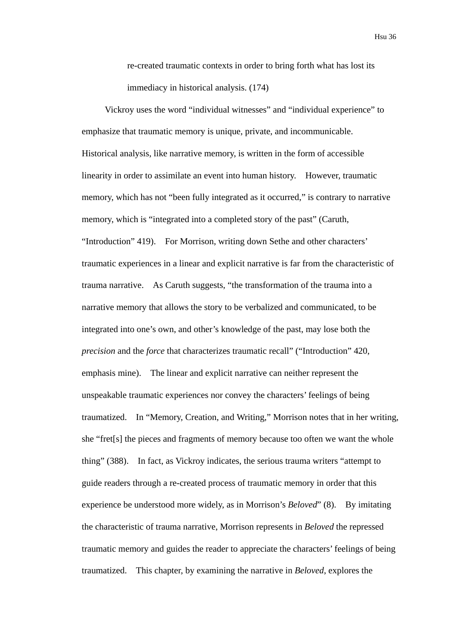re-created traumatic contexts in order to bring forth what has lost its immediacy in historical analysis. (174)

Vickroy uses the word "individual witnesses" and "individual experience" to emphasize that traumatic memory is unique, private, and incommunicable. Historical analysis, like narrative memory, is written in the form of accessible linearity in order to assimilate an event into human history. However, traumatic memory, which has not "been fully integrated as it occurred," is contrary to narrative memory, which is "integrated into a completed story of the past" (Caruth, "Introduction" 419). For Morrison, writing down Sethe and other characters' traumatic experiences in a linear and explicit narrative is far from the characteristic of trauma narrative. As Caruth suggests, "the transformation of the trauma into a narrative memory that allows the story to be verbalized and communicated, to be integrated into one's own, and other's knowledge of the past, may lose both the *precision* and the *force* that characterizes traumatic recall" ("Introduction" 420, emphasis mine). The linear and explicit narrative can neither represent the unspeakable traumatic experiences nor convey the characters' feelings of being traumatized. In "Memory, Creation, and Writing," Morrison notes that in her writing, she "fret[s] the pieces and fragments of memory because too often we want the whole thing" (388). In fact, as Vickroy indicates, the serious trauma writers "attempt to guide readers through a re-created process of traumatic memory in order that this experience be understood more widely, as in Morrison's *Beloved*" (8). By imitating the characteristic of trauma narrative, Morrison represents in *Beloved* the repressed traumatic memory and guides the reader to appreciate the characters' feelings of being traumatized. This chapter, by examining the narrative in *Beloved*, explores the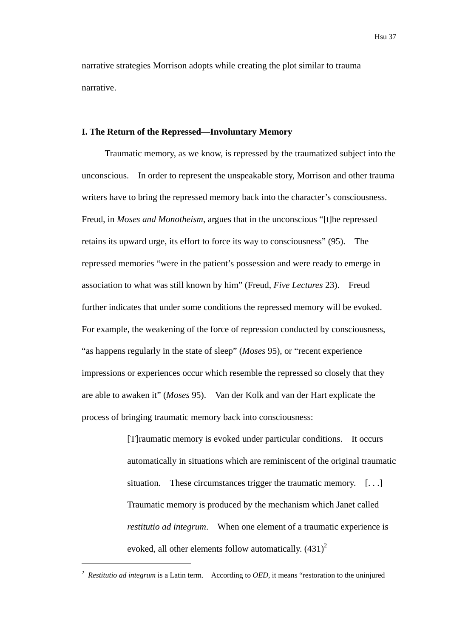narrative strategies Morrison adopts while creating the plot similar to trauma narrative.

## **I. The Return of the Repressed—Involuntary Memory**

Traumatic memory, as we know, is repressed by the traumatized subject into the unconscious. In order to represent the unspeakable story, Morrison and other trauma writers have to bring the repressed memory back into the character's consciousness. Freud, in *Moses and Monotheism*, argues that in the unconscious "[t]he repressed retains its upward urge, its effort to force its way to consciousness" (95). The repressed memories "were in the patient's possession and were ready to emerge in association to what was still known by him" (Freud, *Five Lectures* 23). Freud further indicates that under some conditions the repressed memory will be evoked. For example, the weakening of the force of repression conducted by consciousness, "as happens regularly in the state of sleep" (*Moses* 95), or "recent experience impressions or experiences occur which resemble the repressed so closely that they are able to awaken it" (*Moses* 95). Van der Kolk and van der Hart explicate the process of bringing traumatic memory back into consciousness:

> [T]raumatic memory is evoked under particular conditions. It occurs automatically in situations which are reminiscent of the original traumatic situation. These circumstances trigger the traumatic memory. [...] Traumatic memory is produced by the mechanism which Janet called *restitutio ad integrum*. When one element of a traumatic experience is evoked, all other elements follow automatically.  $(431)^2$

1

<sup>2</sup> *Restitutio ad integrum* is a Latin term. According to *OED*, it means "restoration to the uninjured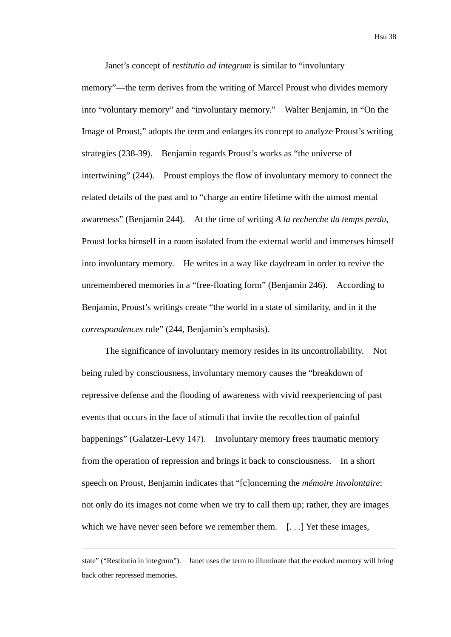Janet's concept of *restitutio ad integrum* is similar to "involuntary memory"—the term derives from the writing of Marcel Proust who divides memory into "voluntary memory" and "involuntary memory." Walter Benjamin, in "On the Image of Proust," adopts the term and enlarges its concept to analyze Proust's writing strategies (238-39). Benjamin regards Proust's works as "the universe of intertwining" (244). Proust employs the flow of involuntary memory to connect the related details of the past and to "charge an entire lifetime with the utmost mental awareness" (Benjamin 244). At the time of writing *A la recherche du temps perdu*, Proust locks himself in a room isolated from the external world and immerses himself into involuntary memory. He writes in a way like daydream in order to revive the unremembered memories in a "free-floating form" (Benjamin 246). According to Benjamin, Proust's writings create "the world in a state of similarity, and in it the *correspondences* rule" (244, Benjamin's emphasis).

The significance of involuntary memory resides in its uncontrollability. Not being ruled by consciousness, involuntary memory causes the "breakdown of repressive defense and the flooding of awareness with vivid reexperiencing of past events that occurs in the face of stimuli that invite the recollection of painful happenings" (Galatzer-Levy 147). Involuntary memory frees traumatic memory from the operation of repression and brings it back to consciousness. In a short speech on Proust, Benjamin indicates that "[c]oncerning the *mémoire involontaire*: not only do its images not come when we try to call them up; rather, they are images which we have never seen before we remember them. [...] Yet these images,

1

state" ("Restitutio in integrum"). Janet uses the term to illuminate that the evoked memory will bring back other repressed memories.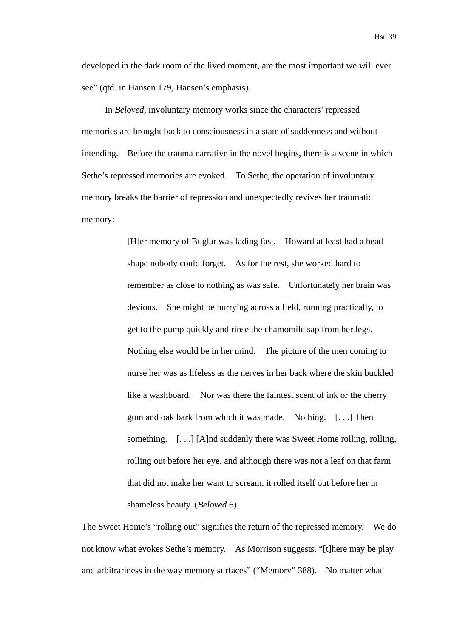developed in the dark room of the lived moment, are the most important we will ever see" (qtd. in Hansen 179, Hansen's emphasis).

In *Beloved*, involuntary memory works since the characters' repressed memories are brought back to consciousness in a state of suddenness and without intending. Before the trauma narrative in the novel begins, there is a scene in which Sethe's repressed memories are evoked. To Sethe, the operation of involuntary memory breaks the barrier of repression and unexpectedly revives her traumatic memory:

> [H]er memory of Buglar was fading fast. Howard at least had a head shape nobody could forget. As for the rest, she worked hard to remember as close to nothing as was safe. Unfortunately her brain was devious. She might be hurrying across a field, running practically, to get to the pump quickly and rinse the chamomile sap from her legs. Nothing else would be in her mind. The picture of the men coming to nurse her was as lifeless as the nerves in her back where the skin buckled like a washboard. Nor was there the faintest scent of ink or the cherry gum and oak bark from which it was made. Nothing. [. . .] Then something. [...] [A]nd suddenly there was Sweet Home rolling, rolling, rolling out before her eye, and although there was not a leaf on that farm that did not make her want to scream, it rolled itself out before her in shameless beauty. (*Beloved* 6)

The Sweet Home's "rolling out" signifies the return of the repressed memory. We do not know what evokes Sethe's memory. As Morrison suggests, "[t]here may be play and arbitrariness in the way memory surfaces" ("Memory" 388). No matter what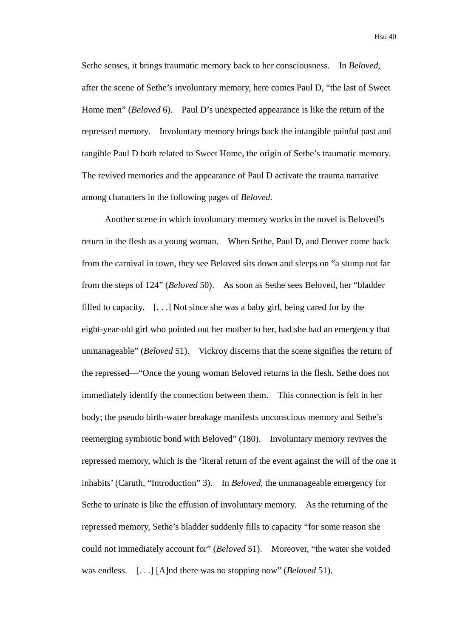Sethe senses, it brings traumatic memory back to her consciousness. In *Beloved*, after the scene of Sethe's involuntary memory, here comes Paul D, "the last of Sweet Home men" (*Beloved* 6). Paul D's unexpected appearance is like the return of the repressed memory. Involuntary memory brings back the intangible painful past and tangible Paul D both related to Sweet Home, the origin of Sethe's traumatic memory. The revived memories and the appearance of Paul D activate the trauma narrative among characters in the following pages of *Beloved*.

Another scene in which involuntary memory works in the novel is Beloved's return in the flesh as a young woman. When Sethe, Paul D, and Denver come back from the carnival in town, they see Beloved sits down and sleeps on "a stump not far from the steps of 124" (*Beloved* 50). As soon as Sethe sees Beloved, her "bladder filled to capacity. [. . .] Not since she was a baby girl, being cared for by the eight-year-old girl who pointed out her mother to her, had she had an emergency that unmanageable" (*Beloved* 51). Vickroy discerns that the scene signifies the return of the repressed—"Once the young woman Beloved returns in the flesh, Sethe does not immediately identify the connection between them. This connection is felt in her body; the pseudo birth-water breakage manifests unconscious memory and Sethe's reemerging symbiotic bond with Beloved" (180). Involuntary memory revives the repressed memory, which is the 'literal return of the event against the will of the one it inhabits' (Caruth, "Introduction" 3). In *Beloved*, the unmanageable emergency for Sethe to urinate is like the effusion of involuntary memory. As the returning of the repressed memory, Sethe's bladder suddenly fills to capacity "for some reason she could not immediately account for" (*Beloved* 51). Moreover, "the water she voided was endless. [. . .] [A]nd there was no stopping now" (*Beloved* 51).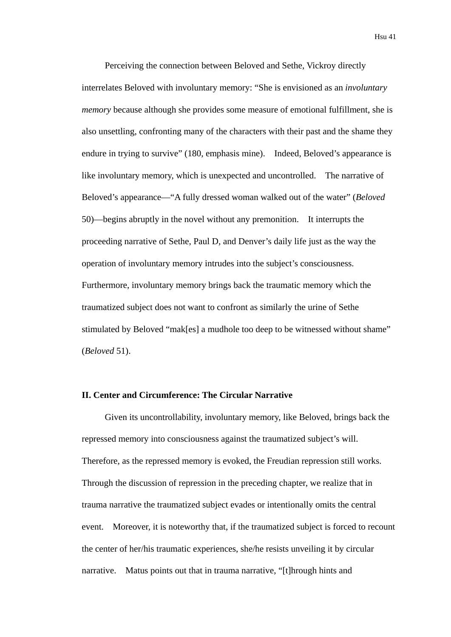Perceiving the connection between Beloved and Sethe, Vickroy directly interrelates Beloved with involuntary memory: "She is envisioned as an *involuntary memory* because although she provides some measure of emotional fulfillment, she is also unsettling, confronting many of the characters with their past and the shame they endure in trying to survive" (180, emphasis mine). Indeed, Beloved's appearance is like involuntary memory, which is unexpected and uncontrolled. The narrative of Beloved's appearance—"A fully dressed woman walked out of the water" (*Beloved* 50)—begins abruptly in the novel without any premonition. It interrupts the proceeding narrative of Sethe, Paul D, and Denver's daily life just as the way the operation of involuntary memory intrudes into the subject's consciousness. Furthermore, involuntary memory brings back the traumatic memory which the traumatized subject does not want to confront as similarly the urine of Sethe stimulated by Beloved "mak[es] a mudhole too deep to be witnessed without shame" (*Beloved* 51).

# **II. Center and Circumference: The Circular Narrative**

Given its uncontrollability, involuntary memory, like Beloved, brings back the repressed memory into consciousness against the traumatized subject's will. Therefore, as the repressed memory is evoked, the Freudian repression still works. Through the discussion of repression in the preceding chapter, we realize that in trauma narrative the traumatized subject evades or intentionally omits the central event. Moreover, it is noteworthy that, if the traumatized subject is forced to recount the center of her/his traumatic experiences, she/he resists unveiling it by circular narrative. Matus points out that in trauma narrative, "[t]hrough hints and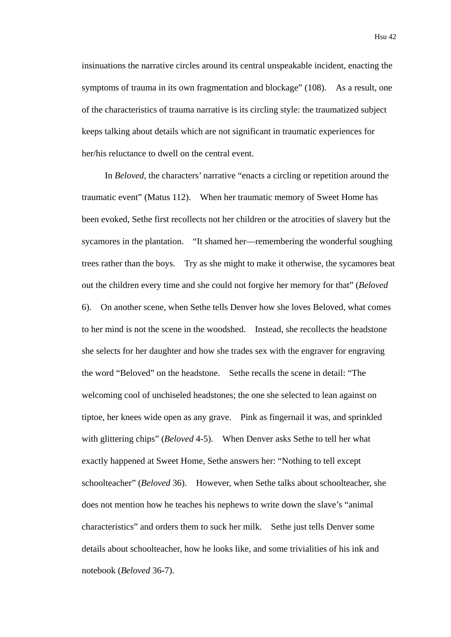insinuations the narrative circles around its central unspeakable incident, enacting the symptoms of trauma in its own fragmentation and blockage" (108). As a result, one of the characteristics of trauma narrative is its circling style: the traumatized subject keeps talking about details which are not significant in traumatic experiences for her/his reluctance to dwell on the central event.

In *Beloved*, the characters' narrative "enacts a circling or repetition around the traumatic event" (Matus 112). When her traumatic memory of Sweet Home has been evoked, Sethe first recollects not her children or the atrocities of slavery but the sycamores in the plantation. "It shamed her—remembering the wonderful soughing trees rather than the boys. Try as she might to make it otherwise, the sycamores beat out the children every time and she could not forgive her memory for that" (*Beloved* 6). On another scene, when Sethe tells Denver how she loves Beloved, what comes to her mind is not the scene in the woodshed. Instead, she recollects the headstone she selects for her daughter and how she trades sex with the engraver for engraving the word "Beloved" on the headstone. Sethe recalls the scene in detail: "The welcoming cool of unchiseled headstones; the one she selected to lean against on tiptoe, her knees wide open as any grave. Pink as fingernail it was, and sprinkled with glittering chips" (*Beloved* 4-5). When Denver asks Sethe to tell her what exactly happened at Sweet Home, Sethe answers her: "Nothing to tell except schoolteacher" (*Beloved* 36). However, when Sethe talks about schoolteacher, she does not mention how he teaches his nephews to write down the slave's "animal characteristics" and orders them to suck her milk. Sethe just tells Denver some details about schoolteacher, how he looks like, and some trivialities of his ink and notebook (*Beloved* 36-7).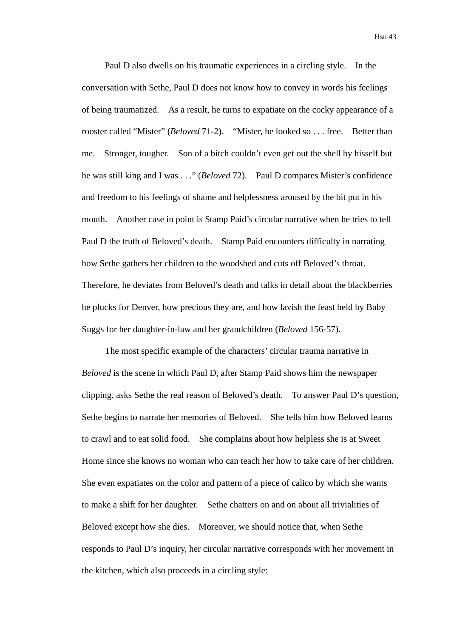Paul D also dwells on his traumatic experiences in a circling style. In the conversation with Sethe, Paul D does not know how to convey in words his feelings of being traumatized. As a result, he turns to expatiate on the cocky appearance of a rooster called "Mister" (*Beloved* 71-2). "Mister, he looked so . . . free. Better than me. Stronger, tougher. Son of a bitch couldn't even get out the shell by hisself but he was still king and I was . . ." (*Beloved* 72). Paul D compares Mister's confidence and freedom to his feelings of shame and helplessness aroused by the bit put in his mouth. Another case in point is Stamp Paid's circular narrative when he tries to tell Paul D the truth of Beloved's death. Stamp Paid encounters difficulty in narrating how Sethe gathers her children to the woodshed and cuts off Beloved's throat. Therefore, he deviates from Beloved's death and talks in detail about the blackberries he plucks for Denver, how precious they are, and how lavish the feast held by Baby Suggs for her daughter-in-law and her grandchildren (*Beloved* 156-57).

The most specific example of the characters' circular trauma narrative in *Beloved* is the scene in which Paul D, after Stamp Paid shows him the newspaper clipping, asks Sethe the real reason of Beloved's death. To answer Paul D's question, Sethe begins to narrate her memories of Beloved. She tells him how Beloved learns to crawl and to eat solid food. She complains about how helpless she is at Sweet Home since she knows no woman who can teach her how to take care of her children. She even expatiates on the color and pattern of a piece of calico by which she wants to make a shift for her daughter. Sethe chatters on and on about all trivialities of Beloved except how she dies. Moreover, we should notice that, when Sethe responds to Paul D's inquiry, her circular narrative corresponds with her movement in the kitchen, which also proceeds in a circling style: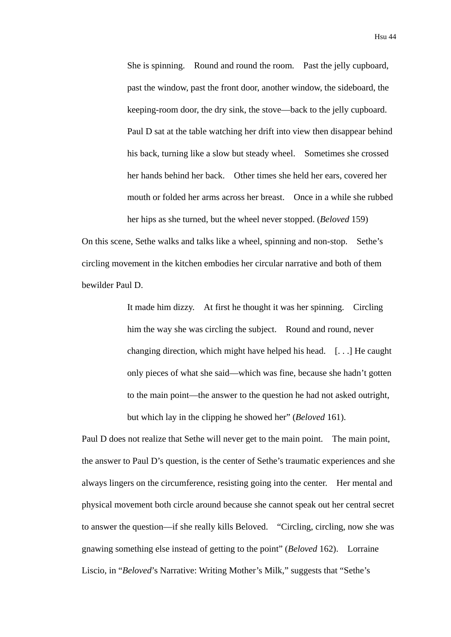She is spinning. Round and round the room. Past the jelly cupboard, past the window, past the front door, another window, the sideboard, the keeping-room door, the dry sink, the stove—back to the jelly cupboard. Paul D sat at the table watching her drift into view then disappear behind his back, turning like a slow but steady wheel. Sometimes she crossed her hands behind her back. Other times she held her ears, covered her mouth or folded her arms across her breast. Once in a while she rubbed her hips as she turned, but the wheel never stopped. (*Beloved* 159)

On this scene, Sethe walks and talks like a wheel, spinning and non-stop. Sethe's circling movement in the kitchen embodies her circular narrative and both of them bewilder Paul D.

> It made him dizzy. At first he thought it was her spinning. Circling him the way she was circling the subject. Round and round, never changing direction, which might have helped his head. [. . .] He caught only pieces of what she said—which was fine, because she hadn't gotten to the main point—the answer to the question he had not asked outright, but which lay in the clipping he showed her" (*Beloved* 161).

Paul D does not realize that Sethe will never get to the main point. The main point, the answer to Paul D's question, is the center of Sethe's traumatic experiences and she always lingers on the circumference, resisting going into the center. Her mental and physical movement both circle around because she cannot speak out her central secret to answer the question—if she really kills Beloved. "Circling, circling, now she was gnawing something else instead of getting to the point" (*Beloved* 162). Lorraine Liscio, in "*Beloved*'s Narrative: Writing Mother's Milk," suggests that "Sethe's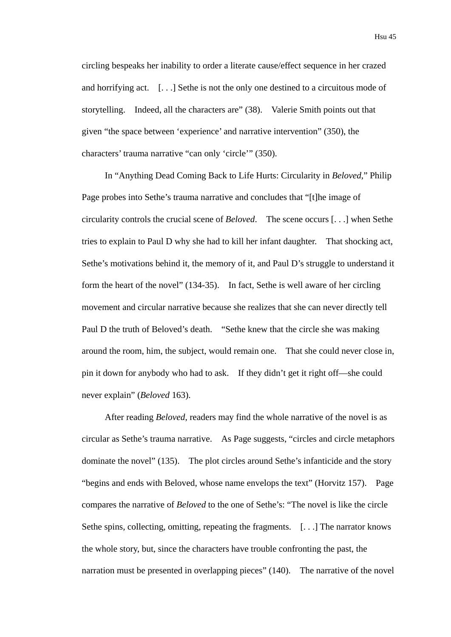circling bespeaks her inability to order a literate cause/effect sequence in her crazed and horrifying act. [. . .] Sethe is not the only one destined to a circuitous mode of storytelling. Indeed, all the characters are" (38). Valerie Smith points out that given "the space between 'experience' and narrative intervention" (350), the characters' trauma narrative "can only 'circle'" (350).

In "Anything Dead Coming Back to Life Hurts: Circularity in *Beloved*," Philip Page probes into Sethe's trauma narrative and concludes that "[t]he image of circularity controls the crucial scene of *Beloved*. The scene occurs [. . .] when Sethe tries to explain to Paul D why she had to kill her infant daughter. That shocking act, Sethe's motivations behind it, the memory of it, and Paul D's struggle to understand it form the heart of the novel" (134-35). In fact, Sethe is well aware of her circling movement and circular narrative because she realizes that she can never directly tell Paul D the truth of Beloved's death. "Sethe knew that the circle she was making around the room, him, the subject, would remain one. That she could never close in, pin it down for anybody who had to ask. If they didn't get it right off—she could never explain" (*Beloved* 163).

After reading *Beloved*, readers may find the whole narrative of the novel is as circular as Sethe's trauma narrative. As Page suggests, "circles and circle metaphors dominate the novel" (135). The plot circles around Sethe's infanticide and the story "begins and ends with Beloved, whose name envelops the text" (Horvitz 157). Page compares the narrative of *Beloved* to the one of Sethe's: "The novel is like the circle Sethe spins, collecting, omitting, repeating the fragments. [...] The narrator knows the whole story, but, since the characters have trouble confronting the past, the narration must be presented in overlapping pieces" (140). The narrative of the novel

Hsu 45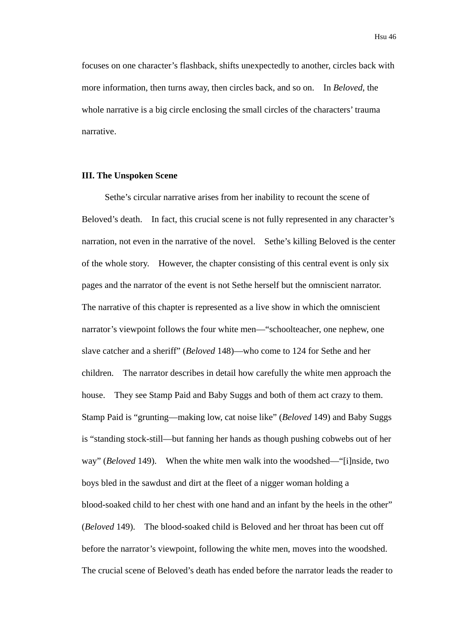focuses on one character's flashback, shifts unexpectedly to another, circles back with more information, then turns away, then circles back, and so on. In *Beloved*, the whole narrative is a big circle enclosing the small circles of the characters' trauma narrative.

#### **III. The Unspoken Scene**

Sethe's circular narrative arises from her inability to recount the scene of Beloved's death. In fact, this crucial scene is not fully represented in any character's narration, not even in the narrative of the novel. Sethe's killing Beloved is the center of the whole story. However, the chapter consisting of this central event is only six pages and the narrator of the event is not Sethe herself but the omniscient narrator. The narrative of this chapter is represented as a live show in which the omniscient narrator's viewpoint follows the four white men—"schoolteacher, one nephew, one slave catcher and a sheriff" (*Beloved* 148)—who come to 124 for Sethe and her children. The narrator describes in detail how carefully the white men approach the house. They see Stamp Paid and Baby Suggs and both of them act crazy to them. Stamp Paid is "grunting—making low, cat noise like" (*Beloved* 149) and Baby Suggs is "standing stock-still—but fanning her hands as though pushing cobwebs out of her way" (*Beloved* 149). When the white men walk into the woodshed—"[i]nside, two boys bled in the sawdust and dirt at the fleet of a nigger woman holding a blood-soaked child to her chest with one hand and an infant by the heels in the other" (*Beloved* 149). The blood-soaked child is Beloved and her throat has been cut off before the narrator's viewpoint, following the white men, moves into the woodshed. The crucial scene of Beloved's death has ended before the narrator leads the reader to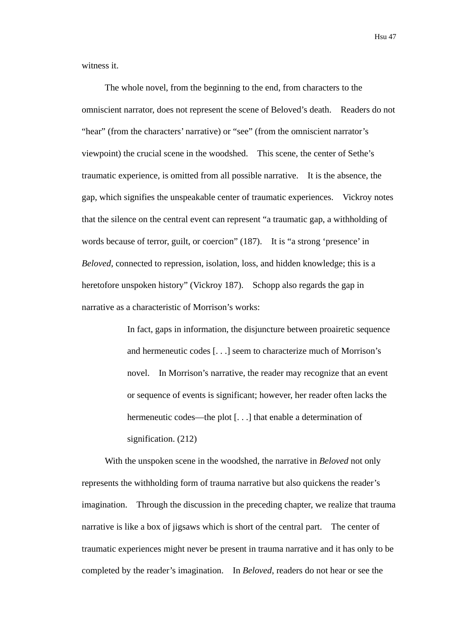witness it.

The whole novel, from the beginning to the end, from characters to the omniscient narrator, does not represent the scene of Beloved's death. Readers do not "hear" (from the characters' narrative) or "see" (from the omniscient narrator's viewpoint) the crucial scene in the woodshed. This scene, the center of Sethe's traumatic experience, is omitted from all possible narrative. It is the absence, the gap, which signifies the unspeakable center of traumatic experiences. Vickroy notes that the silence on the central event can represent "a traumatic gap, a withholding of words because of terror, guilt, or coercion" (187). It is "a strong 'presence' in *Beloved*, connected to repression, isolation, loss, and hidden knowledge; this is a heretofore unspoken history" (Vickroy 187). Schopp also regards the gap in narrative as a characteristic of Morrison's works:

> In fact, gaps in information, the disjuncture between proairetic sequence and hermeneutic codes [. . .] seem to characterize much of Morrison's novel. In Morrison's narrative, the reader may recognize that an event or sequence of events is significant; however, her reader often lacks the hermeneutic codes—the plot [...] that enable a determination of signification. (212)

With the unspoken scene in the woodshed, the narrative in *Beloved* not only represents the withholding form of trauma narrative but also quickens the reader's imagination. Through the discussion in the preceding chapter, we realize that trauma narrative is like a box of jigsaws which is short of the central part. The center of traumatic experiences might never be present in trauma narrative and it has only to be completed by the reader's imagination. In *Beloved*, readers do not hear or see the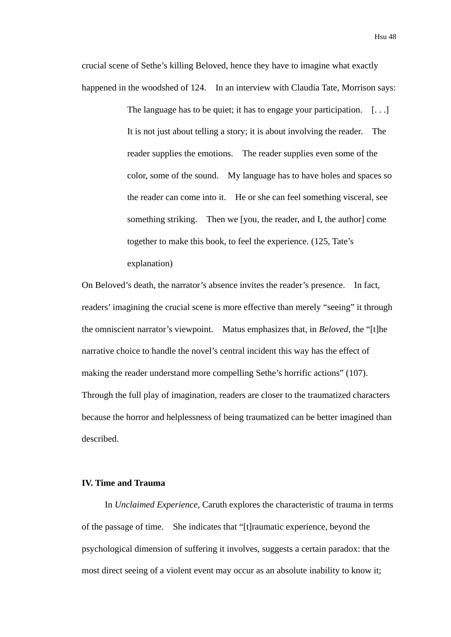crucial scene of Sethe's killing Beloved, hence they have to imagine what exactly happened in the woodshed of 124. In an interview with Claudia Tate, Morrison says:

> The language has to be quiet; it has to engage your participation.  $[\dots]$ It is not just about telling a story; it is about involving the reader. The reader supplies the emotions. The reader supplies even some of the color, some of the sound. My language has to have holes and spaces so the reader can come into it. He or she can feel something visceral, see something striking. Then we [you, the reader, and I, the author] come together to make this book, to feel the experience. (125, Tate's explanation)

On Beloved's death, the narrator's absence invites the reader's presence. In fact, readers' imagining the crucial scene is more effective than merely "seeing" it through the omniscient narrator's viewpoint. Matus emphasizes that, in *Beloved*, the "[t]he narrative choice to handle the novel's central incident this way has the effect of making the reader understand more compelling Sethe's horrific actions" (107). Through the full play of imagination, readers are closer to the traumatized characters because the horror and helplessness of being traumatized can be better imagined than described.

## **IV. Time and Trauma**

In *Unclaimed Experience*, Caruth explores the characteristic of trauma in terms of the passage of time. She indicates that "[t]raumatic experience, beyond the psychological dimension of suffering it involves, suggests a certain paradox: that the most direct seeing of a violent event may occur as an absolute inability to know it;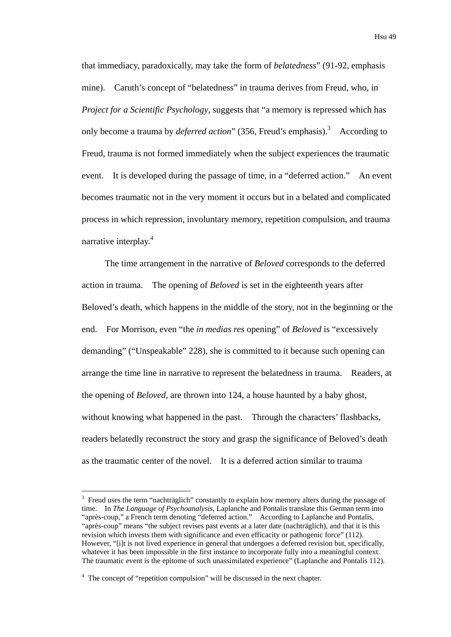that immediacy, paradoxically, may take the form of *belatedness*" (91-92, emphasis mine). Caruth's concept of "belatedness" in trauma derives from Freud, who, in *Project for a Scientific Psychology*, suggests that "a memory is repressed which has only become a trauma by *deferred action*" (356, Freud's emphasis).<sup>3</sup> According to Freud, trauma is not formed immediately when the subject experiences the traumatic event. It is developed during the passage of time, in a "deferred action." An event becomes traumatic not in the very moment it occurs but in a belated and complicated process in which repression, involuntary memory, repetition compulsion, and trauma narrative interplay.<sup>4</sup>

The time arrangement in the narrative of *Beloved* corresponds to the deferred action in trauma. The opening of *Beloved* is set in the eighteenth years after Beloved's death, which happens in the middle of the story, not in the beginning or the end. For Morrison, even "the *in medias res* opening" of *Beloved* is "excessively demanding" ("Unspeakable" 228), she is committed to it because such opening can arrange the time line in narrative to represent the belatedness in trauma. Readers, at the opening of *Beloved*, are thrown into 124, a house haunted by a baby ghost, without knowing what happened in the past. Through the characters' flashbacks, readers belatedly reconstruct the story and grasp the significance of Beloved's death as the traumatic center of the novel. It is a deferred action similar to trauma

1

<sup>&</sup>lt;sup>3</sup> Freud uses the term "nachträglich" constantly to explain how memory alters during the passage of time. In *The Language of Psychoanalysis*, Laplanche and Pontalis translate this German term into "après-coup," a French term denoting "deferred action." According to Laplanche and Pontalis, "après-coup" means "the subject revises past events at a later date (nachträglich), and that it is this revision which invests them with significance and even efficacity or pathogenic force" (112). However, "[i]t is not lived experience in general that undergoes a deferred revision but, specifically, whatever it has been impossible in the first instance to incorporate fully into a meaningful context. The traumatic event is the epitome of such unassimilated experience" (Laplanche and Pontalis 112).

<sup>&</sup>lt;sup>4</sup> The concept of "repetition compulsion" will be discussed in the next chapter.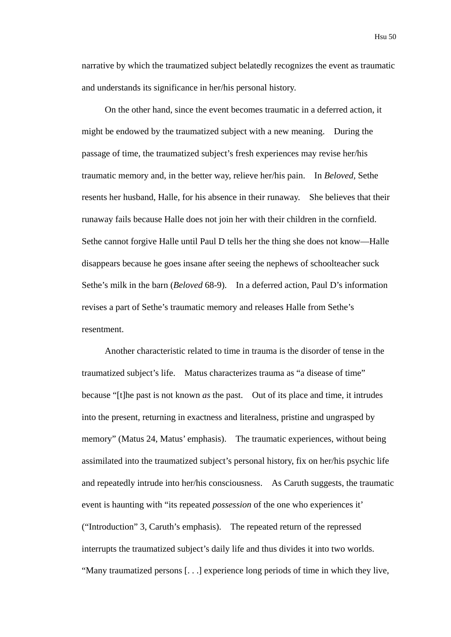narrative by which the traumatized subject belatedly recognizes the event as traumatic and understands its significance in her/his personal history.

On the other hand, since the event becomes traumatic in a deferred action, it might be endowed by the traumatized subject with a new meaning. During the passage of time, the traumatized subject's fresh experiences may revise her/his traumatic memory and, in the better way, relieve her/his pain. In *Beloved*, Sethe resents her husband, Halle, for his absence in their runaway. She believes that their runaway fails because Halle does not join her with their children in the cornfield. Sethe cannot forgive Halle until Paul D tells her the thing she does not know—Halle disappears because he goes insane after seeing the nephews of schoolteacher suck Sethe's milk in the barn (*Beloved* 68-9). In a deferred action, Paul D's information revises a part of Sethe's traumatic memory and releases Halle from Sethe's resentment.

Another characteristic related to time in trauma is the disorder of tense in the traumatized subject's life. Matus characterizes trauma as "a disease of time" because "[t]he past is not known *as* the past. Out of its place and time, it intrudes into the present, returning in exactness and literalness, pristine and ungrasped by memory" (Matus 24, Matus' emphasis). The traumatic experiences, without being assimilated into the traumatized subject's personal history, fix on her/his psychic life and repeatedly intrude into her/his consciousness. As Caruth suggests, the traumatic event is haunting with "its repeated *possession* of the one who experiences it' ("Introduction" 3, Caruth's emphasis). The repeated return of the repressed interrupts the traumatized subject's daily life and thus divides it into two worlds. "Many traumatized persons [. . .] experience long periods of time in which they live,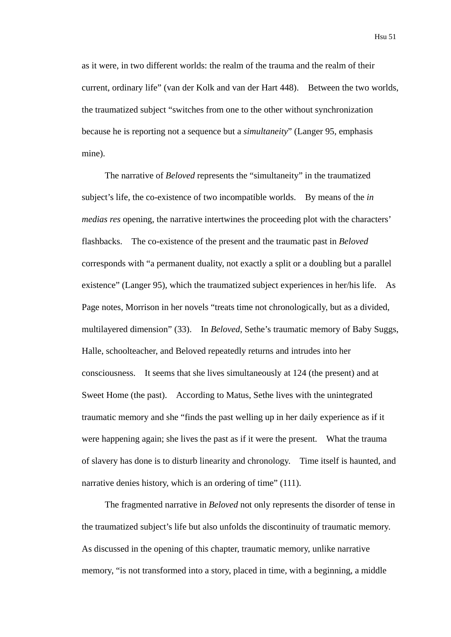as it were, in two different worlds: the realm of the trauma and the realm of their current, ordinary life" (van der Kolk and van der Hart 448). Between the two worlds, the traumatized subject "switches from one to the other without synchronization because he is reporting not a sequence but a *simultaneity*" (Langer 95, emphasis mine).

The narrative of *Beloved* represents the "simultaneity" in the traumatized subject's life, the co-existence of two incompatible worlds. By means of the *in medias res* opening, the narrative intertwines the proceeding plot with the characters' flashbacks. The co-existence of the present and the traumatic past in *Beloved* corresponds with "a permanent duality, not exactly a split or a doubling but a parallel existence" (Langer 95), which the traumatized subject experiences in her/his life. As Page notes, Morrison in her novels "treats time not chronologically, but as a divided, multilayered dimension" (33). In *Beloved*, Sethe's traumatic memory of Baby Suggs, Halle, schoolteacher, and Beloved repeatedly returns and intrudes into her consciousness. It seems that she lives simultaneously at 124 (the present) and at Sweet Home (the past). According to Matus, Sethe lives with the unintegrated traumatic memory and she "finds the past welling up in her daily experience as if it were happening again; she lives the past as if it were the present. What the trauma of slavery has done is to disturb linearity and chronology. Time itself is haunted, and narrative denies history, which is an ordering of time" (111).

The fragmented narrative in *Beloved* not only represents the disorder of tense in the traumatized subject's life but also unfolds the discontinuity of traumatic memory. As discussed in the opening of this chapter, traumatic memory, unlike narrative memory, "is not transformed into a story, placed in time, with a beginning, a middle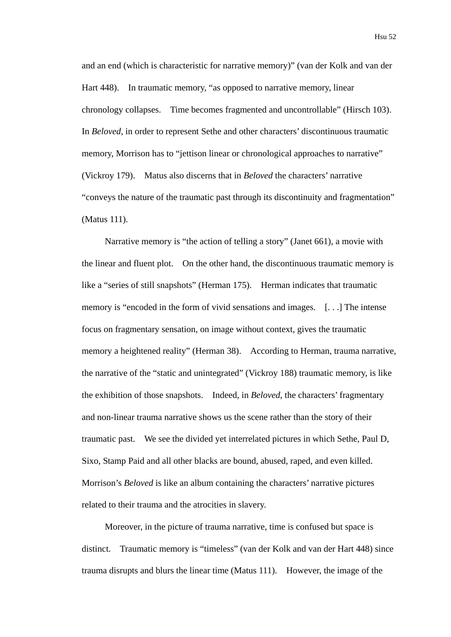and an end (which is characteristic for narrative memory)" (van der Kolk and van der Hart 448). In traumatic memory, "as opposed to narrative memory, linear chronology collapses. Time becomes fragmented and uncontrollable" (Hirsch 103). In *Beloved*, in order to represent Sethe and other characters' discontinuous traumatic memory, Morrison has to "jettison linear or chronological approaches to narrative" (Vickroy 179). Matus also discerns that in *Beloved* the characters' narrative "conveys the nature of the traumatic past through its discontinuity and fragmentation" (Matus 111).

Narrative memory is "the action of telling a story" (Janet 661), a movie with the linear and fluent plot. On the other hand, the discontinuous traumatic memory is like a "series of still snapshots" (Herman 175). Herman indicates that traumatic memory is "encoded in the form of vivid sensations and images. [. . .] The intense focus on fragmentary sensation, on image without context, gives the traumatic memory a heightened reality" (Herman 38). According to Herman, trauma narrative, the narrative of the "static and unintegrated" (Vickroy 188) traumatic memory, is like the exhibition of those snapshots. Indeed, in *Beloved*, the characters' fragmentary and non-linear trauma narrative shows us the scene rather than the story of their traumatic past. We see the divided yet interrelated pictures in which Sethe, Paul D, Sixo, Stamp Paid and all other blacks are bound, abused, raped, and even killed. Morrison's *Beloved* is like an album containing the characters' narrative pictures related to their trauma and the atrocities in slavery.

Moreover, in the picture of trauma narrative, time is confused but space is distinct. Traumatic memory is "timeless" (van der Kolk and van der Hart 448) since trauma disrupts and blurs the linear time (Matus 111). However, the image of the

Hsu 52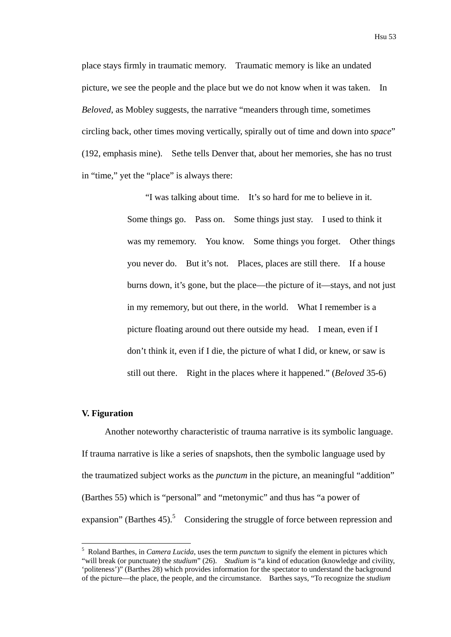place stays firmly in traumatic memory. Traumatic memory is like an undated picture, we see the people and the place but we do not know when it was taken. In *Beloved*, as Mobley suggests, the narrative "meanders through time, sometimes circling back, other times moving vertically, spirally out of time and down into *space*" (192, emphasis mine). Sethe tells Denver that, about her memories, she has no trust in "time," yet the "place" is always there:

> "I was talking about time. It's so hard for me to believe in it. Some things go. Pass on. Some things just stay. I used to think it was my rememory. You know. Some things you forget. Other things you never do. But it's not. Places, places are still there. If a house burns down, it's gone, but the place—the picture of it—stays, and not just in my rememory, but out there, in the world. What I remember is a picture floating around out there outside my head. I mean, even if I don't think it, even if I die, the picture of what I did, or knew, or saw is still out there. Right in the places where it happened." (*Beloved* 35-6)

### **V. Figuration**

1

Another noteworthy characteristic of trauma narrative is its symbolic language. If trauma narrative is like a series of snapshots, then the symbolic language used by the traumatized subject works as the *punctum* in the picture, an meaningful "addition" (Barthes 55) which is "personal" and "metonymic" and thus has "a power of expansion" (Barthes  $45$ ).<sup>5</sup> Considering the struggle of force between repression and

<sup>5</sup> Roland Barthes, in *Camera Lucida*, uses the term *punctum* to signify the element in pictures which "will break (or punctuate) the *studium*" (26). *Studium* is "a kind of education (knowledge and civility, 'politeness')" (Barthes 28) which provides information for the spectator to understand the background of the picture—the place, the people, and the circumstance. Barthes says, "To recognize the *studium*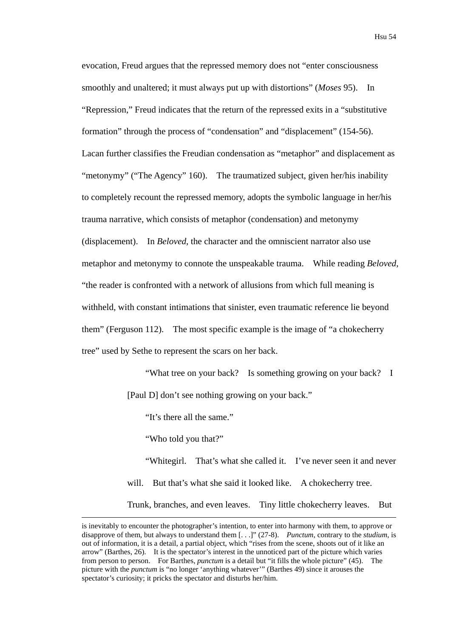evocation, Freud argues that the repressed memory does not "enter consciousness smoothly and unaltered; it must always put up with distortions" (*Moses* 95). In "Repression," Freud indicates that the return of the repressed exits in a "substitutive formation" through the process of "condensation" and "displacement" (154-56). Lacan further classifies the Freudian condensation as "metaphor" and displacement as "metonymy" ("The Agency" 160). The traumatized subject, given her/his inability to completely recount the repressed memory, adopts the symbolic language in her/his trauma narrative, which consists of metaphor (condensation) and metonymy (displacement). In *Beloved*, the character and the omniscient narrator also use metaphor and metonymy to connote the unspeakable trauma. While reading *Beloved*, "the reader is confronted with a network of allusions from which full meaning is withheld, with constant intimations that sinister, even traumatic reference lie beyond them" (Ferguson 112). The most specific example is the image of "a chokecherry

tree" used by Sethe to represent the scars on her back.

"What tree on your back? Is something growing on your back? I [Paul D] don't see nothing growing on your back."

"It's there all the same."

"Who told you that?"

"Whitegirl. That's what she called it. I've never seen it and never will. But that's what she said it looked like. A chokecherry tree. Trunk, branches, and even leaves. Tiny little chokecherry leaves. But

is inevitably to encounter the photographer's intention, to enter into harmony with them, to approve or disapprove of them, but always to understand them [. . .]" (27-8). *Punctum*, contrary to the *studium*, is out of information, it is a detail, a partial object, which "rises from the scene, shoots out of it like an arrow" (Barthes, 26). It is the spectator's interest in the unnoticed part of the picture which varies from person to person. For Barthes, *punctum* is a detail but "it fills the whole picture" (45). The picture with the *punctum* is "no longer 'anything whatever'" (Barthes 49) since it arouses the spectator's curiosity; it pricks the spectator and disturbs her/him.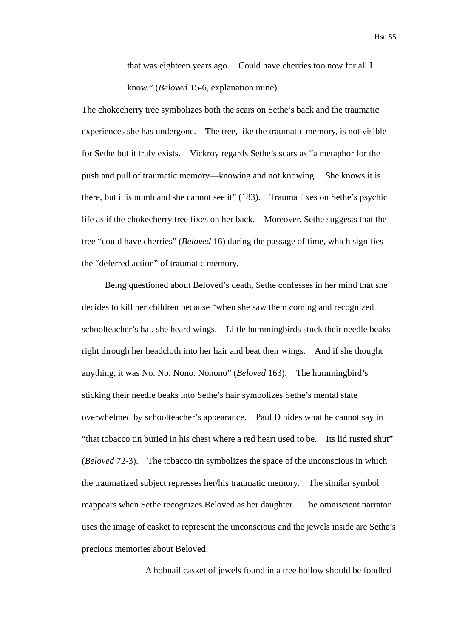that was eighteen years ago. Could have cherries too now for all I know." (*Beloved* 15-6, explanation mine)

The chokecherry tree symbolizes both the scars on Sethe's back and the traumatic experiences she has undergone. The tree, like the traumatic memory, is not visible for Sethe but it truly exists. Vickroy regards Sethe's scars as "a metaphor for the push and pull of traumatic memory—knowing and not knowing. She knows it is there, but it is numb and she cannot see it" (183). Trauma fixes on Sethe's psychic life as if the chokecherry tree fixes on her back. Moreover, Sethe suggests that the tree "could have cherries" (*Beloved* 16) during the passage of time, which signifies the "deferred action" of traumatic memory.

Being questioned about Beloved's death, Sethe confesses in her mind that she decides to kill her children because "when she saw them coming and recognized schoolteacher's hat, she heard wings. Little hummingbirds stuck their needle beaks right through her headcloth into her hair and beat their wings. And if she thought anything, it was No. No. Nono. Nonono" (*Beloved* 163). The hummingbird's sticking their needle beaks into Sethe's hair symbolizes Sethe's mental state overwhelmed by schoolteacher's appearance. Paul D hides what he cannot say in "that tobacco tin buried in his chest where a red heart used to be. Its lid rusted shut" (*Beloved* 72-3). The tobacco tin symbolizes the space of the unconscious in which the traumatized subject represses her/his traumatic memory. The similar symbol reappears when Sethe recognizes Beloved as her daughter. The omniscient narrator uses the image of casket to represent the unconscious and the jewels inside are Sethe's precious memories about Beloved:

A hobnail casket of jewels found in a tree hollow should be fondled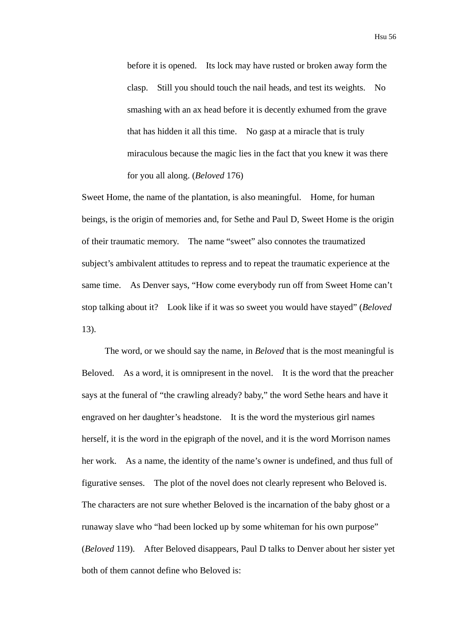before it is opened. Its lock may have rusted or broken away form the clasp. Still you should touch the nail heads, and test its weights. No smashing with an ax head before it is decently exhumed from the grave that has hidden it all this time. No gasp at a miracle that is truly miraculous because the magic lies in the fact that you knew it was there for you all along. (*Beloved* 176)

Sweet Home, the name of the plantation, is also meaningful. Home, for human beings, is the origin of memories and, for Sethe and Paul D, Sweet Home is the origin of their traumatic memory. The name "sweet" also connotes the traumatized subject's ambivalent attitudes to repress and to repeat the traumatic experience at the same time. As Denver says, "How come everybody run off from Sweet Home can't stop talking about it? Look like if it was so sweet you would have stayed" (*Beloved* 13).

The word, or we should say the name, in *Beloved* that is the most meaningful is Beloved. As a word, it is omnipresent in the novel. It is the word that the preacher says at the funeral of "the crawling already? baby," the word Sethe hears and have it engraved on her daughter's headstone. It is the word the mysterious girl names herself, it is the word in the epigraph of the novel, and it is the word Morrison names her work. As a name, the identity of the name's owner is undefined, and thus full of figurative senses. The plot of the novel does not clearly represent who Beloved is. The characters are not sure whether Beloved is the incarnation of the baby ghost or a runaway slave who "had been locked up by some whiteman for his own purpose" (*Beloved* 119). After Beloved disappears, Paul D talks to Denver about her sister yet both of them cannot define who Beloved is: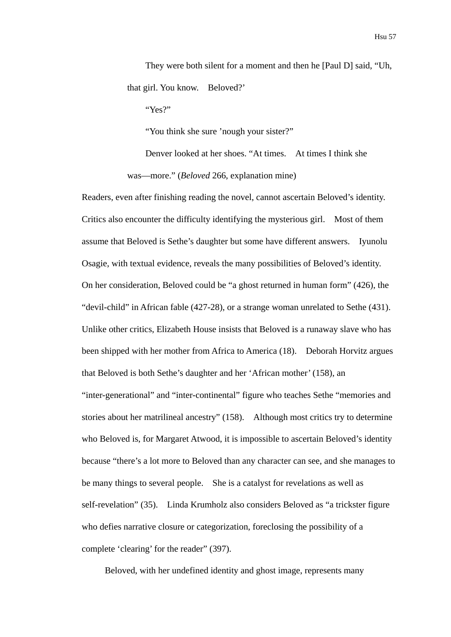They were both silent for a moment and then he [Paul D] said, "Uh, that girl. You know. Beloved?'

"Yes?"

"You think she sure 'nough your sister?"

Denver looked at her shoes. "At times. At times I think she was—more." (*Beloved* 266, explanation mine)

Readers, even after finishing reading the novel, cannot ascertain Beloved's identity. Critics also encounter the difficulty identifying the mysterious girl. Most of them assume that Beloved is Sethe's daughter but some have different answers. Iyunolu Osagie, with textual evidence, reveals the many possibilities of Beloved's identity. On her consideration, Beloved could be "a ghost returned in human form" (426), the "devil-child" in African fable (427-28), or a strange woman unrelated to Sethe (431). Unlike other critics, Elizabeth House insists that Beloved is a runaway slave who has been shipped with her mother from Africa to America (18). Deborah Horvitz argues that Beloved is both Sethe's daughter and her 'African mother' (158), an "inter-generational" and "inter-continental" figure who teaches Sethe "memories and stories about her matrilineal ancestry" (158). Although most critics try to determine who Beloved is, for Margaret Atwood, it is impossible to ascertain Beloved's identity because "there's a lot more to Beloved than any character can see, and she manages to be many things to several people. She is a catalyst for revelations as well as self-revelation" (35). Linda Krumholz also considers Beloved as "a trickster figure who defies narrative closure or categorization, foreclosing the possibility of a complete 'clearing' for the reader" (397).

Beloved, with her undefined identity and ghost image, represents many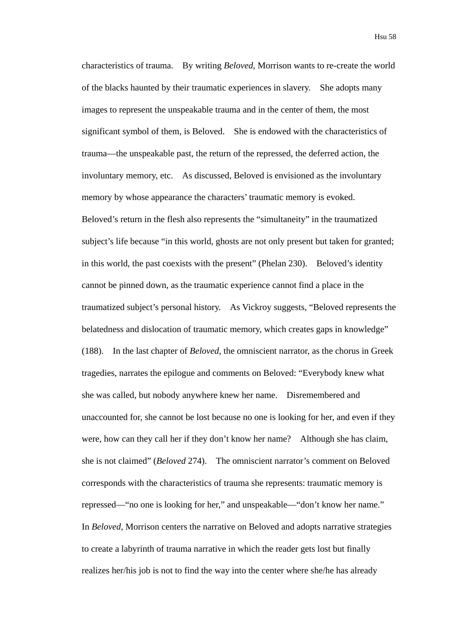characteristics of trauma. By writing *Beloved*, Morrison wants to re-create the world of the blacks haunted by their traumatic experiences in slavery. She adopts many images to represent the unspeakable trauma and in the center of them, the most significant symbol of them, is Beloved. She is endowed with the characteristics of trauma—the unspeakable past, the return of the repressed, the deferred action, the involuntary memory, etc. As discussed, Beloved is envisioned as the involuntary memory by whose appearance the characters' traumatic memory is evoked. Beloved's return in the flesh also represents the "simultaneity" in the traumatized subject's life because "in this world, ghosts are not only present but taken for granted; in this world, the past coexists with the present" (Phelan 230). Beloved's identity cannot be pinned down, as the traumatic experience cannot find a place in the traumatized subject's personal history. As Vickroy suggests, "Beloved represents the belatedness and dislocation of traumatic memory, which creates gaps in knowledge" (188). In the last chapter of *Beloved*, the omniscient narrator, as the chorus in Greek tragedies, narrates the epilogue and comments on Beloved: "Everybody knew what she was called, but nobody anywhere knew her name. Disremembered and unaccounted for, she cannot be lost because no one is looking for her, and even if they were, how can they call her if they don't know her name? Although she has claim, she is not claimed" (*Beloved* 274). The omniscient narrator's comment on Beloved corresponds with the characteristics of trauma she represents: traumatic memory is repressed—"no one is looking for her," and unspeakable—"don't know her name." In *Beloved*, Morrison centers the narrative on Beloved and adopts narrative strategies to create a labyrinth of trauma narrative in which the reader gets lost but finally realizes her/his job is not to find the way into the center where she/he has already